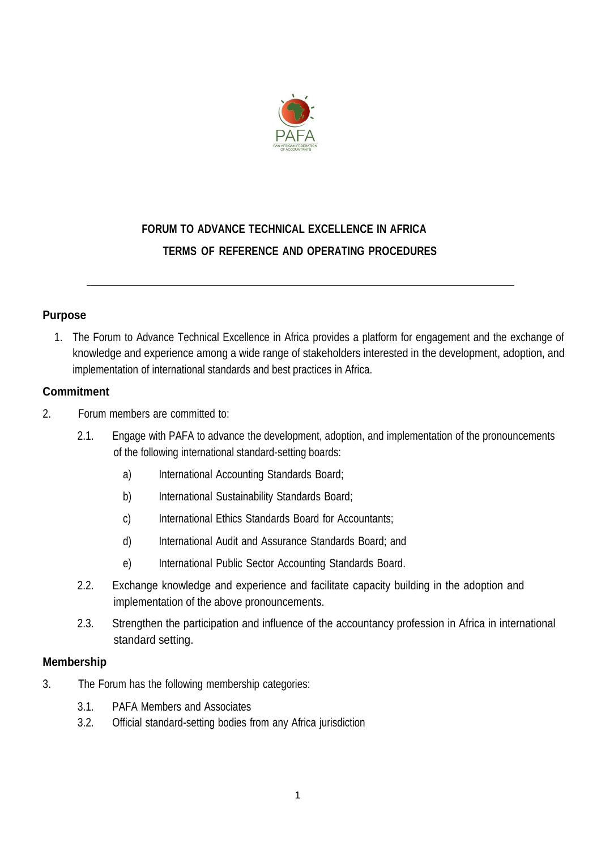

# **FORUM TO ADVANCE TECHNICAL EXCELLENCE IN AFRICA TERMS OF REFERENCE AND OPERATING PROCEDURES**

## **Purpose**

1. The Forum to Advance Technical Excellence in Africa provides a platform for engagement and the exchange of knowledge and experience among a wide range of stakeholders interested in the development, adoption, and implementation of international standards and best practices in Africa.

## **Commitment**

- 2. Forum members are committed to:
	- 2.1. Engage with PAFA to advance the development, adoption, and implementation of the pronouncements of the following international standard-setting boards:
		- a) International Accounting Standards Board;
		- b) International Sustainability Standards Board;
		- c) International Ethics Standards Board for Accountants;
		- d) International Audit and Assurance Standards Board; and
		- e) International Public Sector Accounting Standards Board.
	- 2.2. Exchange knowledge and experience and facilitate capacity building in the adoption and implementation of the above pronouncements.
	- 2.3. Strengthen the participation and influence of the accountancy profession in Africa in international standard setting.

## **Membership**

- 3. The Forum has the following membership categories:
	- 3.1. PAFA Members and Associates
	- 3.2. Official standard-setting bodies from any Africa jurisdiction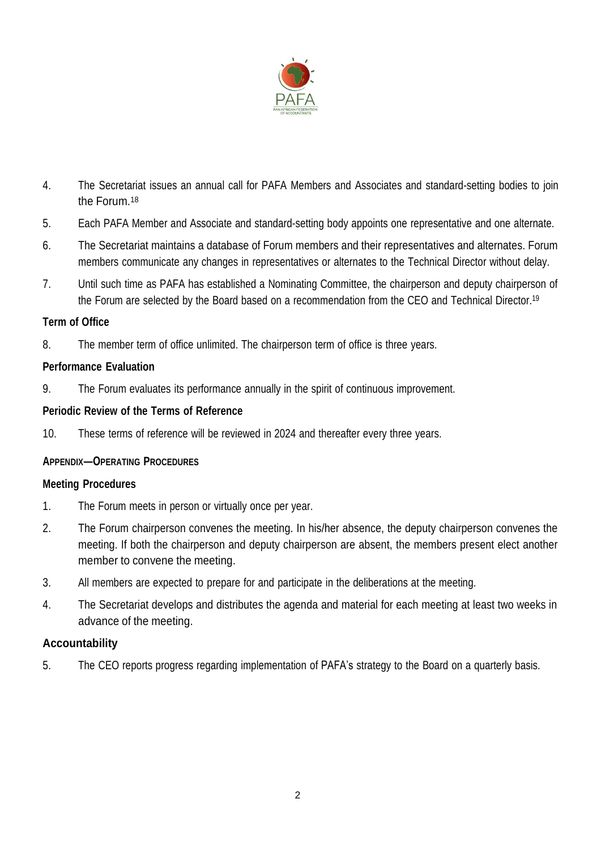

- 4. The Secretariat issues an annual call for PAFA Members and Associates and standard-setting bodies to join the Forum.<sup>18</sup>
- 5. Each PAFA Member and Associate and standard-setting body appoints one representative and one alternate.
- 6. The Secretariat maintains a database of Forum members and their representatives and alternates. Forum members communicate any changes in representatives or alternates to the Technical Director without delay.
- 7. Until such time as PAFA has established a Nominating Committee, the chairperson and deputy chairperson of the Forum are selected by the Board based on a recommendation from the CEO and Technical Director.<sup>19</sup>

## **Term of Office**

8. The member term of office unlimited. The chairperson term of office is three years.

## **Performance Evaluation**

9. The Forum evaluates its performance annually in the spirit of continuous improvement.

## **Periodic Review of the Terms of Reference**

10. These terms of reference will be reviewed in 2024 and thereafter every three years.

## **APPENDIX―OPERATING PROCEDURES**

## **Meeting Procedures**

- 1. The Forum meets in person or virtually once per year.
- 2. The Forum chairperson convenes the meeting. In his/her absence, the deputy chairperson convenes the meeting. If both the chairperson and deputy chairperson are absent, the members present elect another member to convene the meeting.
- 3. All members are expected to prepare for and participate in the deliberations at the meeting.
- 4. The Secretariat develops and distributes the agenda and material for each meeting at least two weeks in advance of the meeting.

## **Accountability**

5. The CEO reports progress regarding implementation of PAFA's strategy to the Board on a quarterly basis.